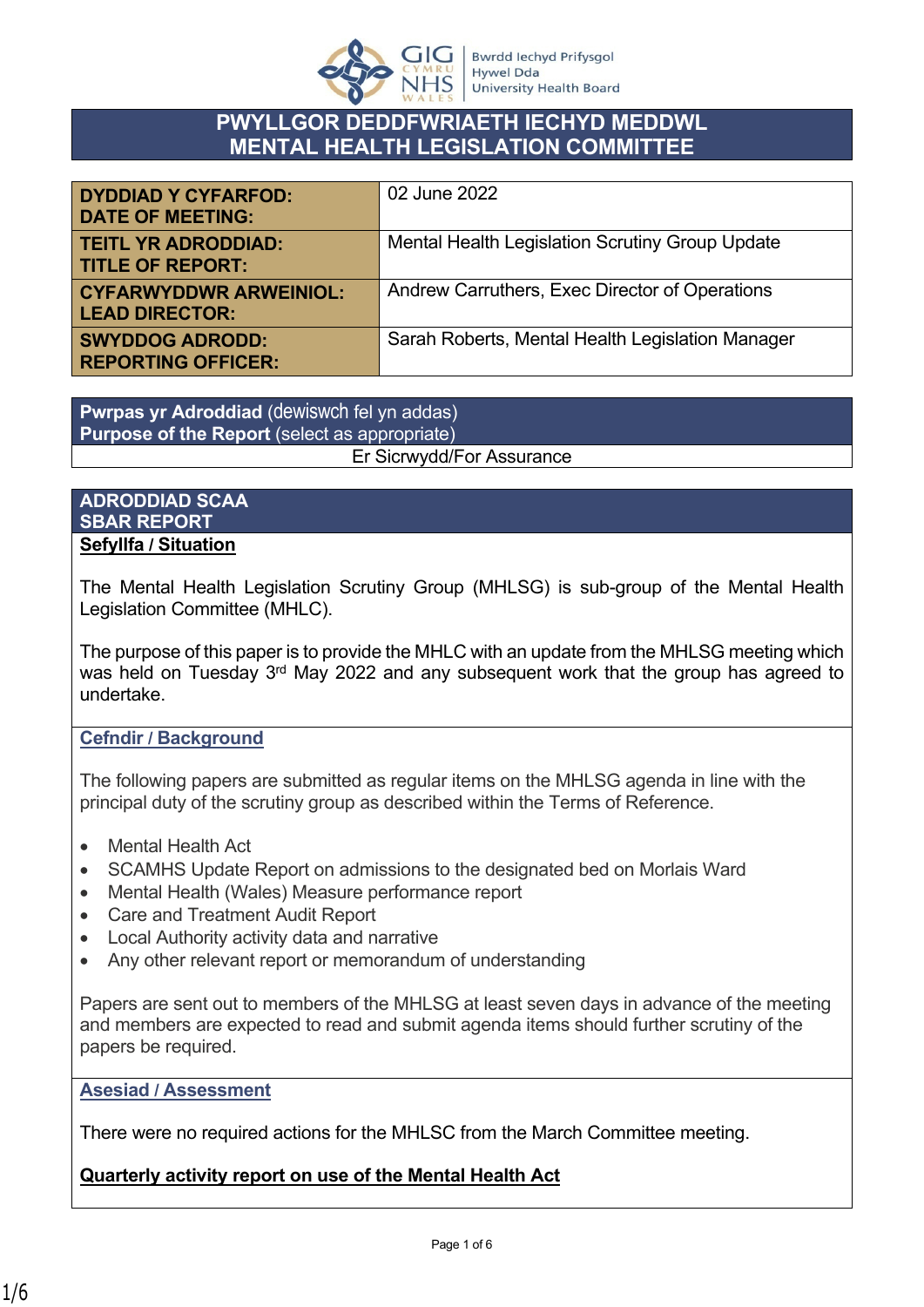

# **PWYLLGOR DEDDFWRIAETH IECHYD MEDDWL MENTAL HEALTH LEGISLATION COMMITTEE**

| <b>DYDDIAD Y CYFARFOD:</b><br><b>DATE OF MEETING:</b>  | 02 June 2022                                           |
|--------------------------------------------------------|--------------------------------------------------------|
| <b>TEITL YR ADRODDIAD:</b><br><b>TITLE OF REPORT:</b>  | <b>Mental Health Legislation Scrutiny Group Update</b> |
| <b>CYFARWYDDWR ARWEINIOL:</b><br><b>LEAD DIRECTOR:</b> | Andrew Carruthers, Exec Director of Operations         |
| <b>SWYDDOG ADRODD:</b><br><b>REPORTING OFFICER:</b>    | Sarah Roberts, Mental Health Legislation Manager       |

**Pwrpas yr Adroddiad** (dewiswch fel yn addas) **Purpose of the Report** (select as appropriate) Er Sicrwydd/For Assurance

### **ADRODDIAD SCAA SBAR REPORT Sefyllfa / Situation**

The Mental Health Legislation Scrutiny Group (MHLSG) is sub-group of the Mental Health Legislation Committee (MHLC).

The purpose of this paper is to provide the MHLC with an update from the MHLSG meeting which was held on Tuesday 3<sup>rd</sup> May 2022 and any subsequent work that the group has agreed to undertake.

## **Cefndir / Background**

The following papers are submitted as regular items on the MHLSG agenda in line with the principal duty of the scrutiny group as described within the Terms of Reference.

- Mental Health Act
- SCAMHS Update Report on admissions to the designated bed on Morlais Ward
- Mental Health (Wales) Measure performance report
- Care and Treatment Audit Report
- Local Authority activity data and narrative
- Any other relevant report or memorandum of understanding

Papers are sent out to members of the MHLSG at least seven days in advance of the meeting and members are expected to read and submit agenda items should further scrutiny of the papers be required.

**Asesiad / Assessment**

There were no required actions for the MHLSC from the March Committee meeting.

## **Quarterly activity report on use of the Mental Health Act**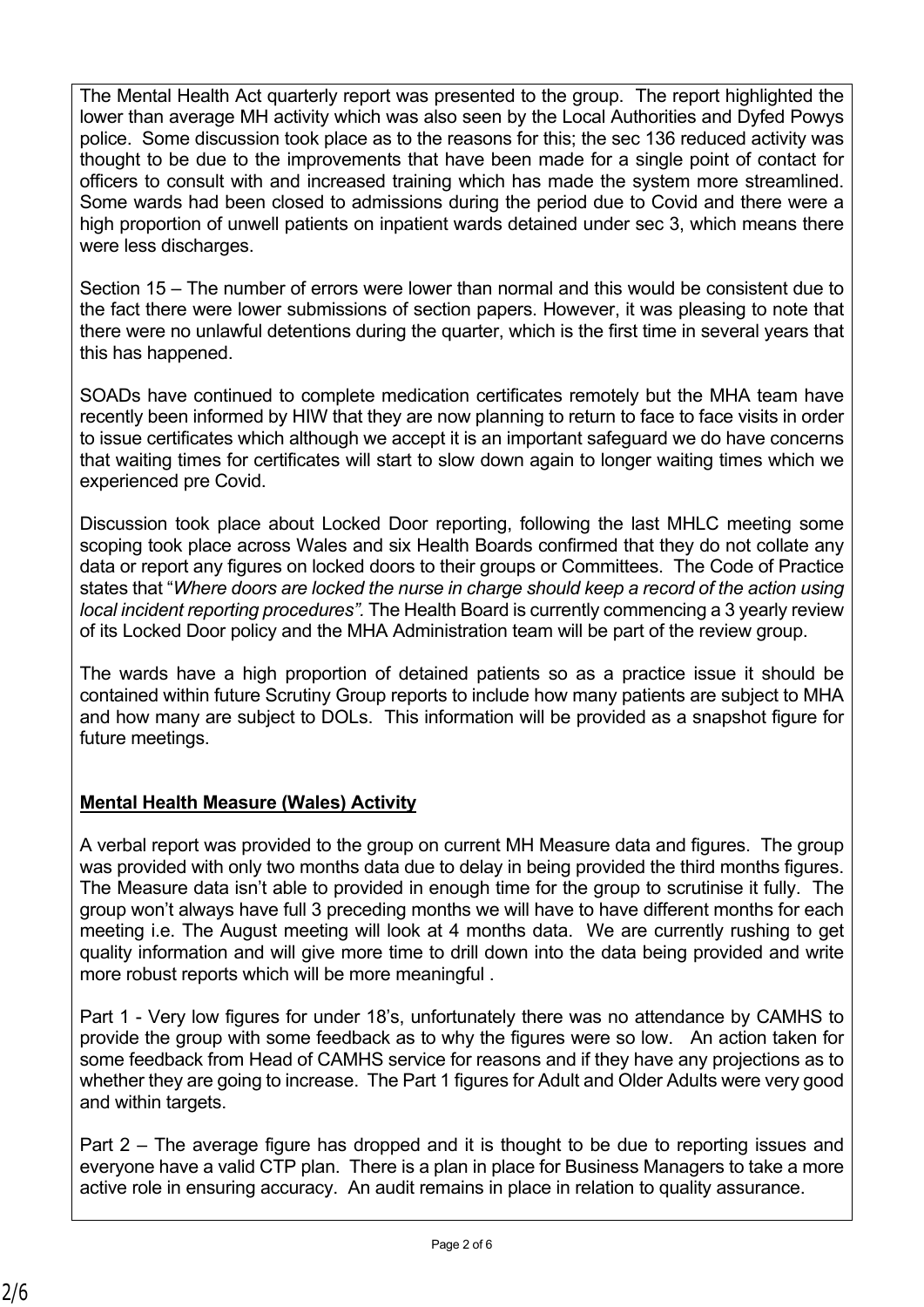The Mental Health Act quarterly report was presented to the group. The report highlighted the lower than average MH activity which was also seen by the Local Authorities and Dyfed Powys police. Some discussion took place as to the reasons for this; the sec 136 reduced activity was thought to be due to the improvements that have been made for a single point of contact for officers to consult with and increased training which has made the system more streamlined. Some wards had been closed to admissions during the period due to Covid and there were a high proportion of unwell patients on inpatient wards detained under sec 3, which means there were less discharges.

Section 15 – The number of errors were lower than normal and this would be consistent due to the fact there were lower submissions of section papers. However, it was pleasing to note that there were no unlawful detentions during the quarter, which is the first time in several years that this has happened.

SOADs have continued to complete medication certificates remotely but the MHA team have recently been informed by HIW that they are now planning to return to face to face visits in order to issue certificates which although we accept it is an important safeguard we do have concerns that waiting times for certificates will start to slow down again to longer waiting times which we experienced pre Covid.

Discussion took place about Locked Door reporting, following the last MHLC meeting some scoping took place across Wales and six Health Boards confirmed that they do not collate any data or report any figures on locked doors to their groups or Committees. The Code of Practice states that "*Where doors are locked the nurse in charge should keep a record of the action using local incident reporting procedures".* The Health Board is currently commencing a 3 yearly review of its Locked Door policy and the MHA Administration team will be part of the review group.

The wards have a high proportion of detained patients so as a practice issue it should be contained within future Scrutiny Group reports to include how many patients are subject to MHA and how many are subject to DOLs. This information will be provided as a snapshot figure for future meetings.

# **Mental Health Measure (Wales) Activity**

A verbal report was provided to the group on current MH Measure data and figures. The group was provided with only two months data due to delay in being provided the third months figures. The Measure data isn't able to provided in enough time for the group to scrutinise it fully. The group won't always have full 3 preceding months we will have to have different months for each meeting i.e. The August meeting will look at 4 months data. We are currently rushing to get quality information and will give more time to drill down into the data being provided and write more robust reports which will be more meaningful .

Part 1 - Very low figures for under 18's, unfortunately there was no attendance by CAMHS to provide the group with some feedback as to why the figures were so low. An action taken for some feedback from Head of CAMHS service for reasons and if they have any projections as to whether they are going to increase. The Part 1 figures for Adult and Older Adults were very good and within targets.

Part 2 – The average figure has dropped and it is thought to be due to reporting issues and everyone have a valid CTP plan. There is a plan in place for Business Managers to take a more active role in ensuring accuracy. An audit remains in place in relation to quality assurance.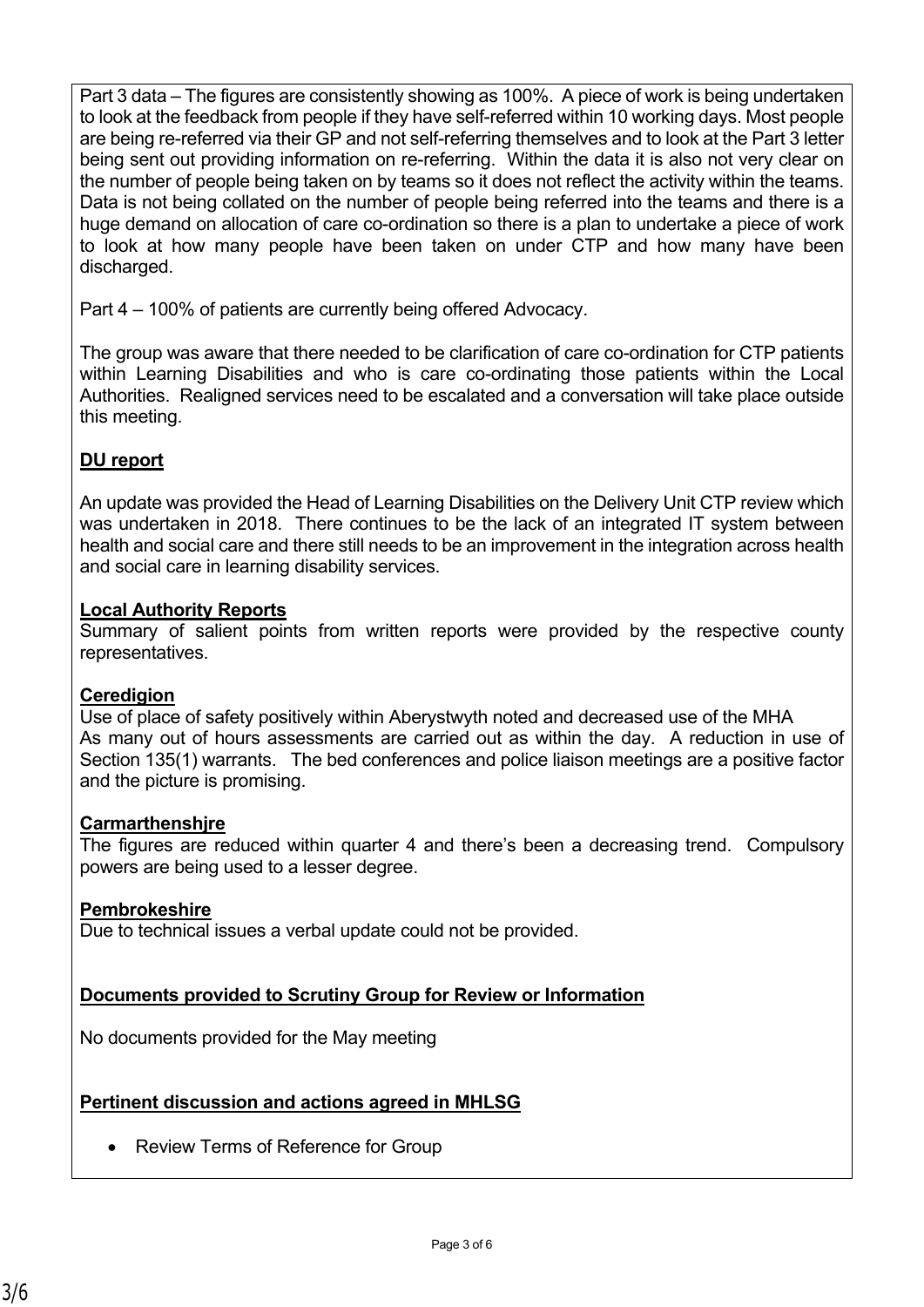Part 3 data – The figures are consistently showing as 100%. A piece of work is being undertaken to look at the feedback from people if they have self-referred within 10 working days. Most people are being re-referred via their GP and not self-referring themselves and to look at the Part 3 letter being sent out providing information on re-referring. Within the data it is also not very clear on the number of people being taken on by teams so it does not reflect the activity within the teams. Data is not being collated on the number of people being referred into the teams and there is a huge demand on allocation of care co-ordination so there is a plan to undertake a piece of work to look at how many people have been taken on under CTP and how many have been discharged.

Part 4 – 100% of patients are currently being offered Advocacy.

The group was aware that there needed to be clarification of care co-ordination for CTP patients within Learning Disabilities and who is care co-ordinating those patients within the Local Authorities. Realigned services need to be escalated and a conversation will take place outside this meeting.

## **DU report**

An update was provided the Head of Learning Disabilities on the Delivery Unit CTP review which was undertaken in 2018. There continues to be the lack of an integrated IT system between health and social care and there still needs to be an improvement in the integration across health and social care in learning disability services.

### **Local Authority Reports**

Summary of salient points from written reports were provided by the respective county representatives.

#### **Ceredigion**

Use of place of safety positively within Aberystwyth noted and decreased use of the MHA As many out of hours assessments are carried out as within the day. A reduction in use of Section 135(1) warrants. The bed conferences and police liaison meetings are a positive factor and the picture is promising.

#### **Carmarthenshjre**

The figures are reduced within quarter 4 and there's been a decreasing trend. Compulsory powers are being used to a lesser degree.

## **Pembrokeshire**

Due to technical issues a verbal update could not be provided.

## **Documents provided to Scrutiny Group for Review or Information**

No documents provided for the May meeting

## **Pertinent discussion and actions agreed in MHLSG**

• Review Terms of Reference for Group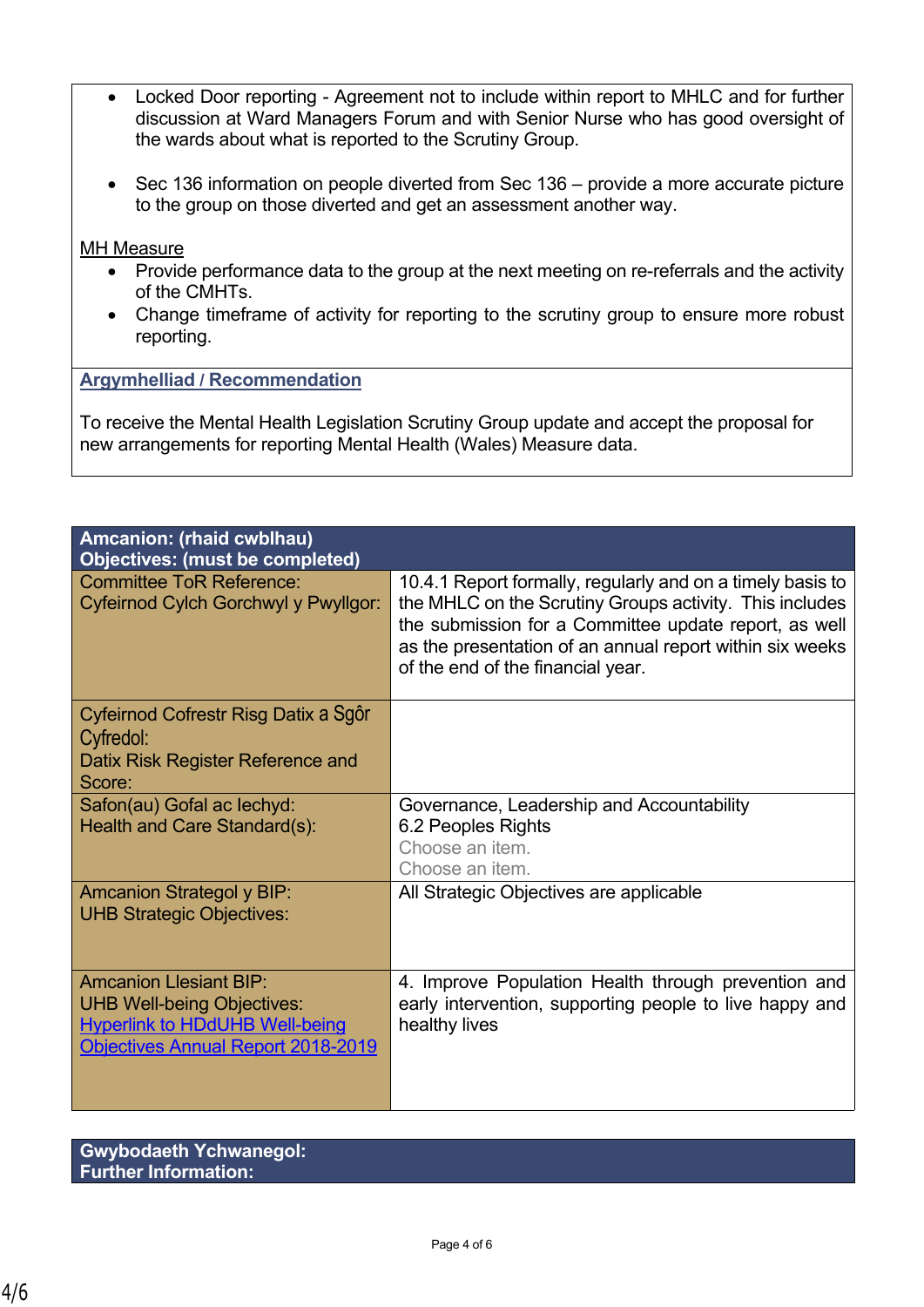- Locked Door reporting Agreement not to include within report to MHLC and for further discussion at Ward Managers Forum and with Senior Nurse who has good oversight of the wards about what is reported to the Scrutiny Group.
- Sec 136 information on people diverted from Sec 136 provide a more accurate picture to the group on those diverted and get an assessment another way.

#### MH Measure

- Provide performance data to the group at the next meeting on re-referrals and the activity of the CMHTs.
- Change timeframe of activity for reporting to the scrutiny group to ensure more robust reporting.

#### **Argymhelliad / Recommendation**

To receive the Mental Health Legislation Scrutiny Group update and accept the proposal for new arrangements for reporting Mental Health (Wales) Measure data.

| Amcanion: (rhaid cwblhau)<br><b>Objectives: (must be completed)</b>                                                                                      |                                                                                                                                                                                                                                                                                 |
|----------------------------------------------------------------------------------------------------------------------------------------------------------|---------------------------------------------------------------------------------------------------------------------------------------------------------------------------------------------------------------------------------------------------------------------------------|
| <b>Committee ToR Reference:</b><br>Cyfeirnod Cylch Gorchwyl y Pwyllgor:                                                                                  | 10.4.1 Report formally, regularly and on a timely basis to<br>the MHLC on the Scrutiny Groups activity. This includes<br>the submission for a Committee update report, as well<br>as the presentation of an annual report within six weeks<br>of the end of the financial year. |
| Cyfeirnod Cofrestr Risg Datix a Sgôr<br>Cyfredol:                                                                                                        |                                                                                                                                                                                                                                                                                 |
| Datix Risk Register Reference and<br>Score:                                                                                                              |                                                                                                                                                                                                                                                                                 |
| Safon(au) Gofal ac lechyd:<br>Health and Care Standard(s):                                                                                               | Governance, Leadership and Accountability<br>6.2 Peoples Rights<br>Choose an item.<br>Choose an item.                                                                                                                                                                           |
| <b>Amcanion Strategol y BIP:</b><br><b>UHB Strategic Objectives:</b>                                                                                     | All Strategic Objectives are applicable                                                                                                                                                                                                                                         |
| <b>Amcanion Llesiant BIP:</b><br><b>UHB Well-being Objectives:</b><br><b>Hyperlink to HDdUHB Well-being</b><br><b>Objectives Annual Report 2018-2019</b> | 4. Improve Population Health through prevention and<br>early intervention, supporting people to live happy and<br>healthy lives                                                                                                                                                 |

| <b>Gwybodaeth Ychwanegol:</b> |  |
|-------------------------------|--|
| <b>Further Information:</b>   |  |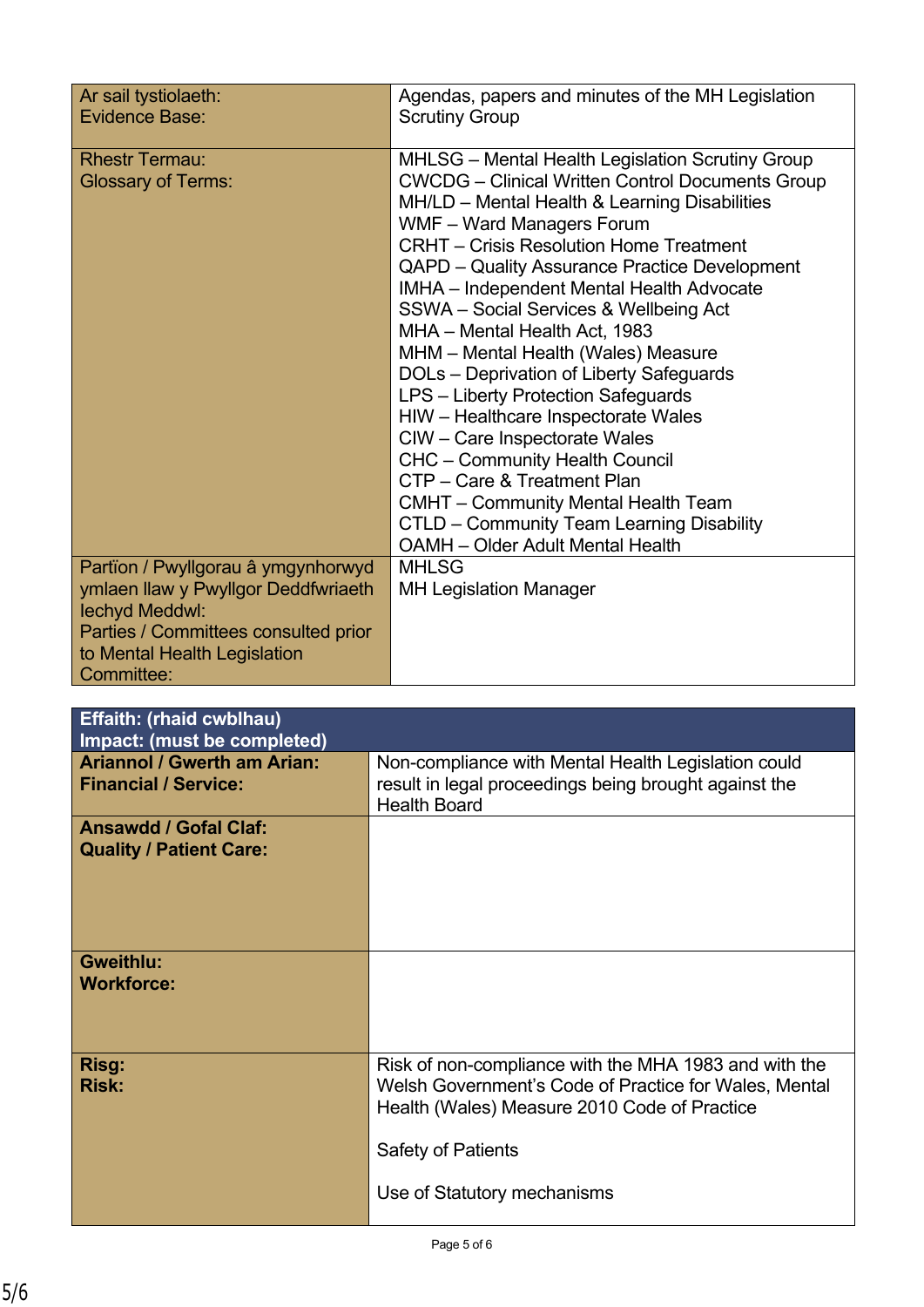| Ar sail tystiolaeth:<br>Evidence Base:                                                   | Agendas, papers and minutes of the MH Legislation<br><b>Scrutiny Group</b>                                                                                                                                                                                                                                                                                                                                                                                                                                                                                                                                                                                                                                                                                                                                                                           |
|------------------------------------------------------------------------------------------|------------------------------------------------------------------------------------------------------------------------------------------------------------------------------------------------------------------------------------------------------------------------------------------------------------------------------------------------------------------------------------------------------------------------------------------------------------------------------------------------------------------------------------------------------------------------------------------------------------------------------------------------------------------------------------------------------------------------------------------------------------------------------------------------------------------------------------------------------|
| <b>Rhestr Termau:</b><br><b>Glossary of Terms:</b><br>Partïon / Pwyllgorau â ymgynhorwyd | MHLSG - Mental Health Legislation Scrutiny Group<br><b>CWCDG</b> – Clinical Written Control Documents Group<br>MH/LD – Mental Health & Learning Disabilities<br>WMF - Ward Managers Forum<br><b>CRHT</b> – Crisis Resolution Home Treatment<br>QAPD - Quality Assurance Practice Development<br>IMHA - Independent Mental Health Advocate<br>SSWA - Social Services & Wellbeing Act<br>MHA - Mental Health Act, 1983<br>MHM - Mental Health (Wales) Measure<br>DOLs - Deprivation of Liberty Safeguards<br>LPS - Liberty Protection Safeguards<br>HIW - Healthcare Inspectorate Wales<br>CIW - Care Inspectorate Wales<br><b>CHC</b> - Community Health Council<br>CTP - Care & Treatment Plan<br><b>CMHT</b> - Community Mental Health Team<br>CTLD - Community Team Learning Disability<br><b>OAMH</b> - Older Adult Mental Health<br><b>MHLSG</b> |
| ymlaen llaw y Pwyllgor Deddfwriaeth<br>lechyd Meddwl:                                    | <b>MH Legislation Manager</b>                                                                                                                                                                                                                                                                                                                                                                                                                                                                                                                                                                                                                                                                                                                                                                                                                        |
| Parties / Committees consulted prior<br>to Mental Health Legislation<br>Committee:       |                                                                                                                                                                                                                                                                                                                                                                                                                                                                                                                                                                                                                                                                                                                                                                                                                                                      |

| <b>Effaith: (rhaid cwblhau)</b><br>Impact: (must be completed)    |                                                                                                                                                                                                                            |
|-------------------------------------------------------------------|----------------------------------------------------------------------------------------------------------------------------------------------------------------------------------------------------------------------------|
| <b>Ariannol / Gwerth am Arian:</b><br><b>Financial / Service:</b> | Non-compliance with Mental Health Legislation could<br>result in legal proceedings being brought against the<br><b>Health Board</b>                                                                                        |
| <b>Ansawdd / Gofal Claf:</b><br><b>Quality / Patient Care:</b>    |                                                                                                                                                                                                                            |
| <b>Gweithlu:</b><br><b>Workforce:</b>                             |                                                                                                                                                                                                                            |
| Risg:<br><b>Risk:</b>                                             | Risk of non-compliance with the MHA 1983 and with the<br>Welsh Government's Code of Practice for Wales, Mental<br>Health (Wales) Measure 2010 Code of Practice<br><b>Safety of Patients</b><br>Use of Statutory mechanisms |